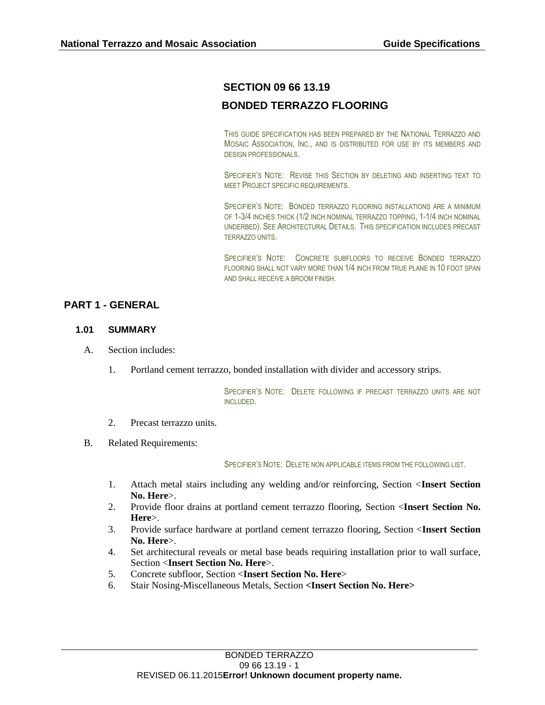# **SECTION 09 66 13.19**

# **BONDED TERRAZZO FLOORING**

THIS GUIDE SPECIFICATION HAS BEEN PREPARED BY THE NATIONAL TERRAZZO AND MOSAIC ASSOCIATION, INC., AND IS DISTRIBUTED FOR USE BY ITS MEMBERS AND DESIGN PROFESSIONALS.

SPECIFIER'S NOTE: REVISE THIS SECTION BY DELETING AND INSERTING TEXT TO MEET PROJECT SPECIFIC REQUIREMENTS.

SPECIFIER'S NOTE: BONDED TERRAZZO FLOORING INSTALLATIONS ARE A MINIMUM OF 1-3/4 INCHES THICK (1/2 INCH NOMINAL TERRAZZO TOPPING, 1-1/4 INCH NOMINAL UNDERBED). SEE ARCHITECTURAL DETAILS. THIS SPECIFICATION INCLUDES PRECAST TERRAZZO UNITS.

SPECIFIER'S NOTE: CONCRETE SUBFLOORS TO RECEIVE BONDED TERRAZZO FLOORING SHALL NOT VARY MORE THAN 1/4 INCH FROM TRUE PLANE IN 10 FOOT SPAN AND SHALL RECEIVE A BROOM FINISH.

# **PART 1 - GENERAL**

#### **1.01 SUMMARY**

- A. Section includes:
	- 1. Portland cement terrazzo, bonded installation with divider and accessory strips.

SPECIFIER'S NOTE: DELETE FOLLOWING IF PRECAST TERRAZZO UNITS ARE NOT INCLUDED.

- 2. Precast terrazzo units.
- B. Related Requirements:

SPECIFIER'S NOTE: DELETE NON APPLICABLE ITEMS FROM THE FOLLOWING LIST.

- 1. Attach metal stairs including any welding and/or reinforcing, Section <**Insert Section No. Here**>.
- 2. Provide floor drains at portland cement terrazzo flooring, Section <**Insert Section No. Here**>.
- 3. Provide surface hardware at portland cement terrazzo flooring, Section <**Insert Section No. Here**>.
- 4. Set architectural reveals or metal base beads requiring installation prior to wall surface, Section <**Insert Section No. Here**>.
- 5. Concrete subfloor, Section <**Insert Section No. Here**>
- 6. Stair Nosing-Miscellaneous Metals, Section **<Insert Section No. Here>**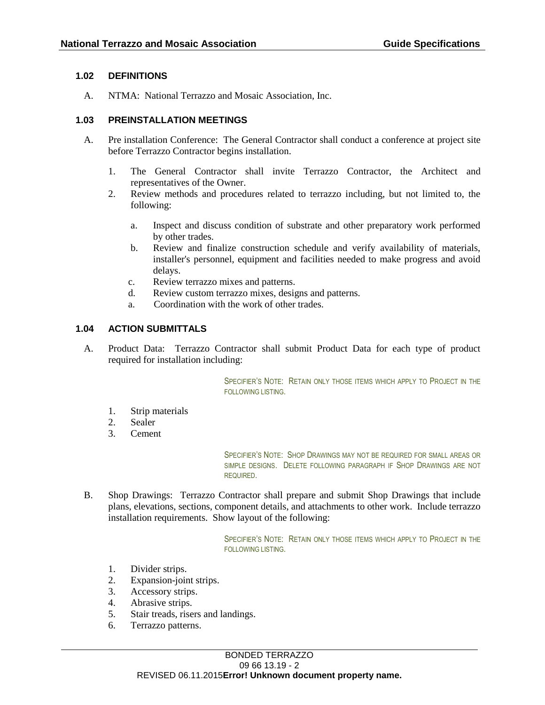### **1.02 DEFINITIONS**

A. NTMA: National Terrazzo and Mosaic Association, Inc.

### **1.03 PREINSTALLATION MEETINGS**

- A. Pre installation Conference: The General Contractor shall conduct a conference at project site before Terrazzo Contractor begins installation.
	- 1. The General Contractor shall invite Terrazzo Contractor, the Architect and representatives of the Owner.
	- 2. Review methods and procedures related to terrazzo including, but not limited to, the following:
		- a. Inspect and discuss condition of substrate and other preparatory work performed by other trades.
		- b. Review and finalize construction schedule and verify availability of materials, installer's personnel, equipment and facilities needed to make progress and avoid delays.
		- c. Review terrazzo mixes and patterns.
		- d. Review custom terrazzo mixes, designs and patterns.
		- a. Coordination with the work of other trades.

# **1.04 ACTION SUBMITTALS**

A. Product Data: Terrazzo Contractor shall submit Product Data for each type of product required for installation including:

> SPECIFIER'S NOTE: RETAIN ONLY THOSE ITEMS WHICH APPLY TO PROJECT IN THE FOLLOWING LISTING.

- 1. Strip materials
- 2. Sealer
- 3. Cement

SPECIFIER'S NOTE: SHOP DRAWINGS MAY NOT BE REQUIRED FOR SMALL AREAS OR SIMPLE DESIGNS. DELETE FOLLOWING PARAGRAPH IF SHOP DRAWINGS ARE NOT REQUIRED.

B. Shop Drawings: Terrazzo Contractor shall prepare and submit Shop Drawings that include plans, elevations, sections, component details, and attachments to other work. Include terrazzo installation requirements. Show layout of the following:

> SPECIFIER'S NOTE: RETAIN ONLY THOSE ITEMS WHICH APPLY TO PROJECT IN THE FOLLOWING LISTING.

- 1. Divider strips.
- 2. Expansion-joint strips.
- 3. Accessory strips.
- 4. Abrasive strips.
- 5. Stair treads, risers and landings.
- 6. Terrazzo patterns.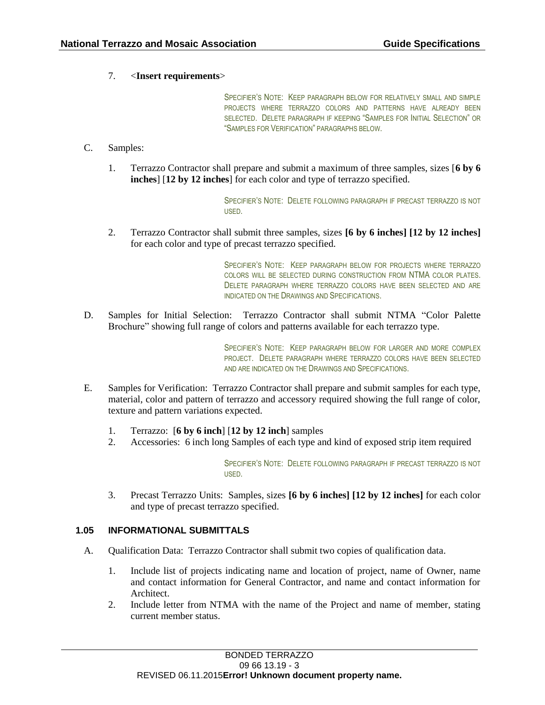### 7. <**Insert requirements**>

SPECIFIER'S NOTE: KEEP PARAGRAPH BELOW FOR RELATIVELY SMALL AND SIMPLE PROJECTS WHERE TERRAZZO COLORS AND PATTERNS HAVE ALREADY BEEN SELECTED. DELETE PARAGRAPH IF KEEPING "SAMPLES FOR INITIAL SELECTION" OR "SAMPLES FOR VERIFICATION" PARAGRAPHS BELOW.

#### C. Samples:

1. Terrazzo Contractor shall prepare and submit a maximum of three samples, sizes [**6 by 6 inches**] [**12 by 12 inches**] for each color and type of terrazzo specified.

> SPECIFIER'S NOTE: DELETE FOLLOWING PARAGRAPH IF PRECAST TERRAZZO IS NOT USED.

2. Terrazzo Contractor shall submit three samples, sizes **[6 by 6 inches] [12 by 12 inches]** for each color and type of precast terrazzo specified.

> SPECIFIER'S NOTE: KEEP PARAGRAPH BELOW FOR PROJECTS WHERE TERRAZZO COLORS WILL BE SELECTED DURING CONSTRUCTION FROM NTMA COLOR PLATES. DELETE PARAGRAPH WHERE TERRAZZO COLORS HAVE BEEN SELECTED AND ARE INDICATED ON THE DRAWINGS AND SPECIFICATIONS.

D. Samples for Initial Selection: Terrazzo Contractor shall submit NTMA "Color Palette Brochure" showing full range of colors and patterns available for each terrazzo type.

> SPECIFIER'S NOTE: KEEP PARAGRAPH BELOW FOR LARGER AND MORE COMPLEX PROJECT. DELETE PARAGRAPH WHERE TERRAZZO COLORS HAVE BEEN SELECTED AND ARE INDICATED ON THE DRAWINGS AND SPECIFICATIONS.

- E. Samples for Verification: Terrazzo Contractor shall prepare and submit samples for each type, material, color and pattern of terrazzo and accessory required showing the full range of color, texture and pattern variations expected.
	- 1. Terrazzo: [**6 by 6 inch**] [**12 by 12 inch**] samples
	- 2. Accessories: 6 inch long Samples of each type and kind of exposed strip item required

SPECIFIER'S NOTE: DELETE FOLLOWING PARAGRAPH IF PRECAST TERRAZZO IS NOT USED.

3. Precast Terrazzo Units: Samples, sizes **[6 by 6 inches] [12 by 12 inches]** for each color and type of precast terrazzo specified.

#### **1.05 INFORMATIONAL SUBMITTALS**

- A. Qualification Data: Terrazzo Contractor shall submit two copies of qualification data.
	- 1. Include list of projects indicating name and location of project, name of Owner, name and contact information for General Contractor, and name and contact information for Architect.
	- 2. Include letter from NTMA with the name of the Project and name of member, stating current member status.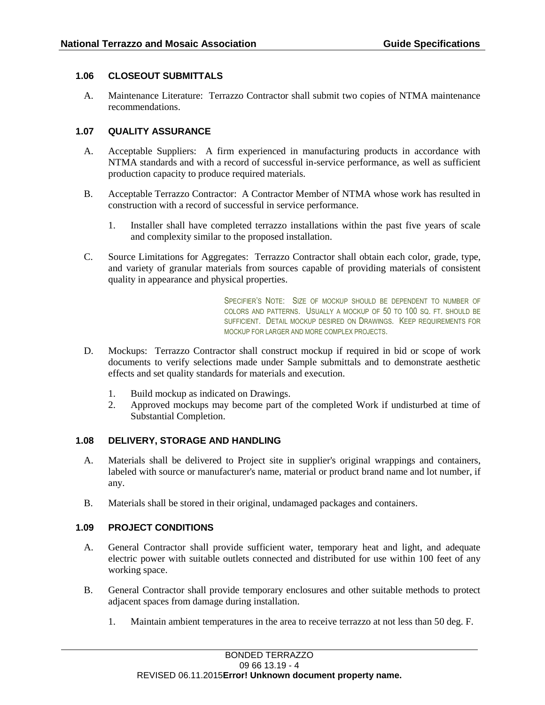# **1.06 CLOSEOUT SUBMITTALS**

A. Maintenance Literature: Terrazzo Contractor shall submit two copies of NTMA maintenance recommendations.

### **1.07 QUALITY ASSURANCE**

- A. Acceptable Suppliers: A firm experienced in manufacturing products in accordance with NTMA standards and with a record of successful in-service performance, as well as sufficient production capacity to produce required materials.
- B. Acceptable Terrazzo Contractor: A Contractor Member of NTMA whose work has resulted in construction with a record of successful in service performance.
	- 1. Installer shall have completed terrazzo installations within the past five years of scale and complexity similar to the proposed installation.
- C. Source Limitations for Aggregates: Terrazzo Contractor shall obtain each color, grade, type, and variety of granular materials from sources capable of providing materials of consistent quality in appearance and physical properties.

SPECIFIER'S NOTE: SIZE OF MOCKUP SHOULD BE DEPENDENT TO NUMBER OF COLORS AND PATTERNS. USUALLY A MOCKUP OF 50 TO 100 SO. FT. SHOULD BE SUFFICIENT. DETAIL MOCKUP DESIRED ON DRAWINGS. KEEP REQUIREMENTS FOR MOCKUP FOR LARGER AND MORE COMPLEX PROJECTS.

- D. Mockups: Terrazzo Contractor shall construct mockup if required in bid or scope of work documents to verify selections made under Sample submittals and to demonstrate aesthetic effects and set quality standards for materials and execution.
	- 1. Build mockup as indicated on Drawings.
	- 2. Approved mockups may become part of the completed Work if undisturbed at time of Substantial Completion.

#### **1.08 DELIVERY, STORAGE AND HANDLING**

- A. Materials shall be delivered to Project site in supplier's original wrappings and containers, labeled with source or manufacturer's name, material or product brand name and lot number, if any.
- B. Materials shall be stored in their original, undamaged packages and containers.

#### **1.09 PROJECT CONDITIONS**

- A. General Contractor shall provide sufficient water, temporary heat and light, and adequate electric power with suitable outlets connected and distributed for use within 100 feet of any working space.
- B. General Contractor shall provide temporary enclosures and other suitable methods to protect adjacent spaces from damage during installation.
	- 1. Maintain ambient temperatures in the area to receive terrazzo at not less than 50 deg. F.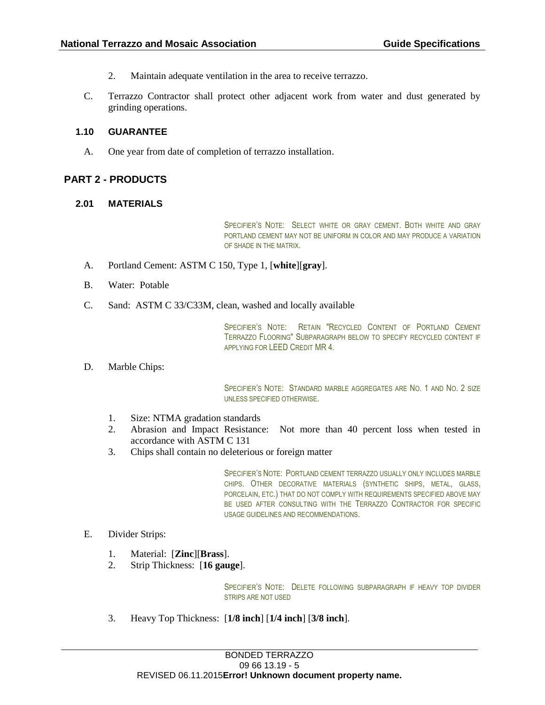- 2. Maintain adequate ventilation in the area to receive terrazzo.
- C. Terrazzo Contractor shall protect other adjacent work from water and dust generated by grinding operations.

#### **1.10 GUARANTEE**

A. One year from date of completion of terrazzo installation.

### **PART 2 - PRODUCTS**

#### **2.01 MATERIALS**

SPECIFIER'S NOTE: SELECT WHITE OR GRAY CEMENT. BOTH WHITE AND GRAY PORTLAND CEMENT MAY NOT BE UNIFORM IN COLOR AND MAY PRODUCE A VARIATION OF SHADE IN THE MATRIX.

- A. Portland Cement: ASTM C 150, Type 1, [**white**][**gray**].
- B. Water: Potable
- C. Sand: ASTM C 33/C33M, clean, washed and locally available

SPECIFIER'S NOTE: RETAIN "RECYCLED CONTENT OF PORTLAND CEMENT TERRAZZO FLOORING" SUBPARAGRAPH BELOW TO SPECIFY RECYCLED CONTENT IF APPLYING FOR LEED CREDIT MR 4.

D. Marble Chips:

SPECIFIER'S NOTE: STANDARD MARBLE AGGREGATES ARE NO. 1 AND NO. 2 SIZE UNLESS SPECIFIED OTHERWISE.

- 1. Size: NTMA gradation standards
- 2. Abrasion and Impact Resistance: Not more than 40 percent loss when tested in accordance with ASTM C 131
- 3. Chips shall contain no deleterious or foreign matter

SPECIFIER'S NOTE: PORTLAND CEMENT TERRAZZO USUALLY ONLY INCLUDES MARBLE CHIPS. OTHER DECORATIVE MATERIALS (SYNTHETIC SHIPS, METAL, GLASS, PORCELAIN, ETC.) THAT DO NOT COMPLY WITH REQUIREMENTS SPECIFIED ABOVE MAY BE USED AFTER CONSULTING WITH THE TERRAZZO CONTRACTOR FOR SPECIFIC USAGE GUIDELINES AND RECOMMENDATIONS.

- E. Divider Strips:
	- 1. Material: [**Zinc**][**Brass**].
	- 2. Strip Thickness: [**16 gauge**].

SPECIFIER'S NOTE: DELETE FOLLOWING SUBPARAGRAPH IF HEAVY TOP DIVIDER STRIPS ARE NOT USED

3. Heavy Top Thickness: [**1/8 inch**] [**1/4 inch**] [**3/8 inch**].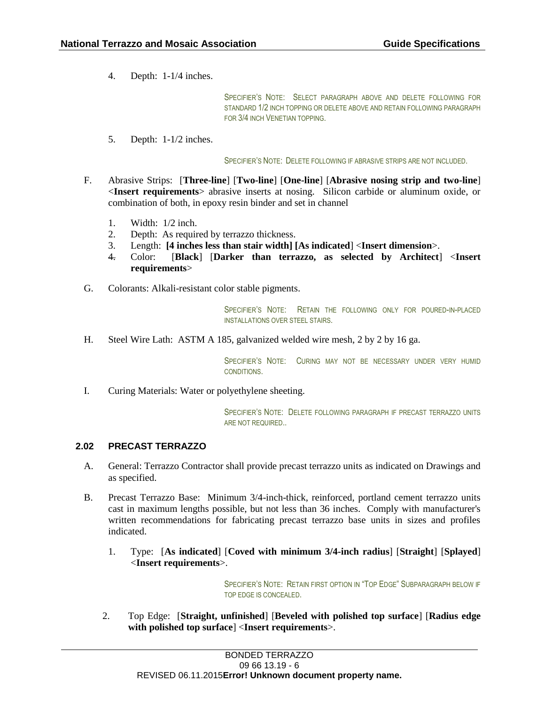4. Depth: 1-1/4 inches.

SPECIFIER'S NOTE: SELECT PARAGRAPH ABOVE AND DELETE FOLLOWING FOR STANDARD 1/2 INCH TOPPING OR DELETE ABOVE AND RETAIN FOLLOWING PARAGRAPH FOR 3/4 INCH VENETIAN TOPPING.

5. Depth: 1-1/2 inches.

SPECIFIER'S NOTE: DELETE FOLLOWING IF ABRASIVE STRIPS ARE NOT INCLUDED.

- F. Abrasive Strips: [**Three-line**] [**Two-line**] [**One-line**] [**Abrasive nosing strip and two-line**] <**Insert requirements**> abrasive inserts at nosing. Silicon carbide or aluminum oxide, or combination of both, in epoxy resin binder and set in channel
	- 1. Width: 1/2 inch.
	- 2. Depth: As required by terrazzo thickness.
	- 3. Length: **[4 inches less than stair width] [As indicated**] <**Insert dimension**>.
	- 4. Color: [**Black**] [**Darker than terrazzo, as selected by Architect**] <**Insert requirements**>
- G. Colorants: Alkali-resistant color stable pigments.

SPECIFIER'S NOTE: RETAIN THE FOLLOWING ONLY FOR POURED-IN-PLACED INSTALLATIONS OVER STEEL STAIRS.

H. Steel Wire Lath: ASTM A 185, galvanized welded wire mesh, 2 by 2 by 16 ga.

SPECIFIER'S NOTE: CURING MAY NOT BE NECESSARY UNDER VERY HUMID CONDITIONS.

I. Curing Materials: Water or polyethylene sheeting.

SPECIFIER'S NOTE: DELETE FOLLOWING PARAGRAPH IF PRECAST TERRAZZO UNITS ARE NOT REQUIRED..

#### **2.02 PRECAST TERRAZZO**

- A. General: Terrazzo Contractor shall provide precast terrazzo units as indicated on Drawings and as specified.
- B. Precast Terrazzo Base: Minimum 3/4-inch-thick, reinforced, portland cement terrazzo units cast in maximum lengths possible, but not less than 36 inches. Comply with manufacturer's written recommendations for fabricating precast terrazzo base units in sizes and profiles indicated.
	- 1. Type: [**As indicated**] [**Coved with minimum 3/4-inch radius**] [**Straight**] [**Splayed**] <**Insert requirements**>.

SPECIFIER'S NOTE: RETAIN FIRST OPTION IN "TOP EDGE" SUBPARAGRAPH BELOW IF TOP EDGE IS CONCEALED.

2. Top Edge: [**Straight, unfinished**] [**Beveled with polished top surface**] [**Radius edge with polished top surface**] <**Insert requirements**>.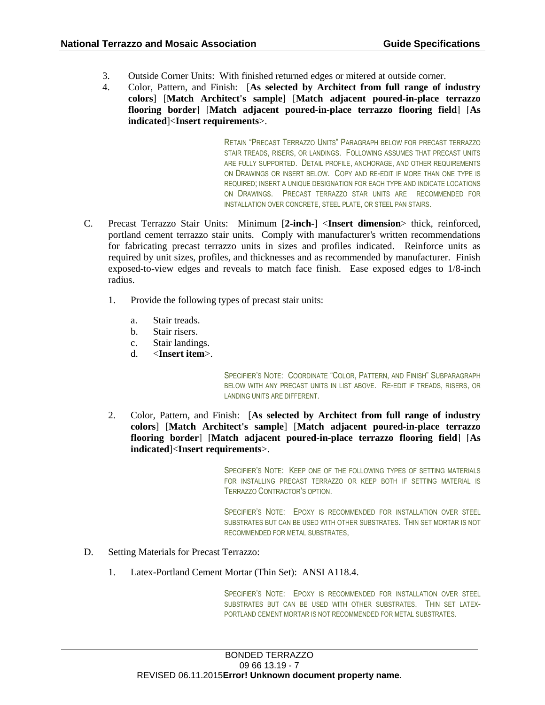- 3. Outside Corner Units: With finished returned edges or mitered at outside corner.
- 4. Color, Pattern, and Finish: [**As selected by Architect from full range of industry colors**] [**Match Architect's sample**] [**Match adjacent poured-in-place terrazzo flooring border**] [**Match adjacent poured-in-place terrazzo flooring field**] [**As indicated**]<**Insert requirements**>.

RETAIN "PRECAST TERRAZZO UNITS" PARAGRAPH BELOW FOR PRECAST TERRAZZO STAIR TREADS, RISERS, OR LANDINGS. FOLLOWING ASSUMES THAT PRECAST UNITS ARE FULLY SUPPORTED. DETAIL PROFILE, ANCHORAGE, AND OTHER REQUIREMENTS ON DRAWINGS OR INSERT BELOW. COPY AND RE-EDIT IF MORE THAN ONE TYPE IS REQUIRED; INSERT A UNIQUE DESIGNATION FOR EACH TYPE AND INDICATE LOCATIONS ON DRAWINGS. PRECAST TERRAZZO STAR UNITS ARE RECOMMENDED FOR INSTALLATION OVER CONCRETE, STEEL PLATE, OR STEEL PAN STAIRS.

- C. Precast Terrazzo Stair Units: Minimum [**2-inch-**] <**Insert dimension**> thick, reinforced, portland cement terrazzo stair units. Comply with manufacturer's written recommendations for fabricating precast terrazzo units in sizes and profiles indicated. Reinforce units as required by unit sizes, profiles, and thicknesses and as recommended by manufacturer. Finish exposed-to-view edges and reveals to match face finish. Ease exposed edges to 1/8-inch radius.
	- 1. Provide the following types of precast stair units:
		- a. Stair treads.
		- b. Stair risers.
		- c. Stair landings.
		- d. <**Insert item**>.

SPECIFIER'S NOTE: COORDINATE "COLOR, PATTERN, AND FINISH" SUBPARAGRAPH BELOW WITH ANY PRECAST UNITS IN LIST ABOVE. RE-EDIT IF TREADS, RISERS, OR LANDING UNITS ARE DIFFERENT.

2. Color, Pattern, and Finish: [**As selected by Architect from full range of industry colors**] [**Match Architect's sample**] [**Match adjacent poured-in-place terrazzo flooring border**] [**Match adjacent poured-in-place terrazzo flooring field**] [**As indicated**]<**Insert requirements**>.

> SPECIFIER'S NOTE: KEEP ONE OF THE FOLLOWING TYPES OF SETTING MATERIALS FOR INSTALLING PRECAST TERRAZZO OR KEEP BOTH IF SETTING MATERIAL IS TERRAZZO CONTRACTOR'S OPTION.

> SPECIFIER'S NOTE: EPOXY IS RECOMMENDED FOR INSTALLATION OVER STEEL SUBSTRATES BUT CAN BE USED WITH OTHER SUBSTRATES. THIN SET MORTAR IS NOT RECOMMENDED FOR METAL SUBSTRATES,

- D. Setting Materials for Precast Terrazzo:
	- 1. Latex-Portland Cement Mortar (Thin Set): ANSI A118.4.

SPECIFIER'S NOTE: EPOXY IS RECOMMENDED FOR INSTALLATION OVER STEEL SUBSTRATES BUT CAN BE USED WITH OTHER SUBSTRATES. THIN SET LATEX-PORTLAND CEMENT MORTAR IS NOT RECOMMENDED FOR METAL SUBSTRATES.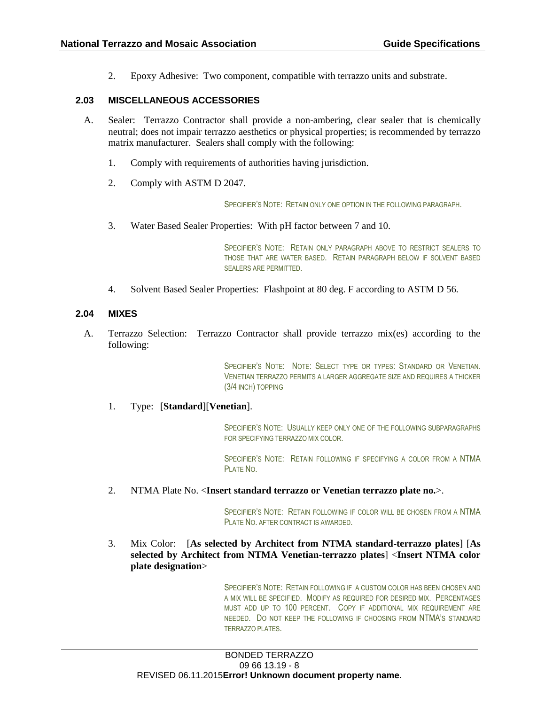2. Epoxy Adhesive: Two component, compatible with terrazzo units and substrate.

### **2.03 MISCELLANEOUS ACCESSORIES**

- A. Sealer: Terrazzo Contractor shall provide a non-ambering, clear sealer that is chemically neutral; does not impair terrazzo aesthetics or physical properties; is recommended by terrazzo matrix manufacturer. Sealers shall comply with the following:
	- 1. Comply with requirements of authorities having jurisdiction.
	- 2. Comply with ASTM D 2047.

SPECIFIER'S NOTE: RETAIN ONLY ONE OPTION IN THE FOLLOWING PARAGRAPH.

3. Water Based Sealer Properties: With pH factor between 7 and 10.

SPECIFIER'S NOTE: RETAIN ONLY PARAGRAPH ABOVE TO RESTRICT SEALERS TO THOSE THAT ARE WATER BASED. RETAIN PARAGRAPH BELOW IF SOLVENT BASED SEALERS ARE PERMITTED.

4. Solvent Based Sealer Properties: Flashpoint at 80 deg. F according to ASTM D 56.

#### **2.04 MIXES**

A. Terrazzo Selection: Terrazzo Contractor shall provide terrazzo mix(es) according to the following:

> SPECIFIER'S NOTE: NOTE: SELECT TYPE OR TYPES: STANDARD OR VENETIAN. VENETIAN TERRAZZO PERMITS A LARGER AGGREGATE SIZE AND REQUIRES A THICKER (3/4 INCH) TOPPING

#### 1. Type: [**Standard**][**Venetian**].

SPECIFIER'S NOTE: USUALLY KEEP ONLY ONE OF THE FOLLOWING SUBPARAGRAPHS FOR SPECIFYING TERRAZZO MIX COLOR.

SPECIFIER'S NOTE: RETAIN FOLLOWING IF SPECIFYING A COLOR FROM A NTMA PLATE NO.

2. NTMA Plate No. <**Insert standard terrazzo or Venetian terrazzo plate no.**>.

SPECIFIER'S NOTE: RETAIN FOLLOWING IF COLOR WILL BE CHOSEN FROM A NTMA PLATE NO. AFTER CONTRACT IS AWARDED.

3. Mix Color: [**As selected by Architect from NTMA standard-terrazzo plates**] [**As selected by Architect from NTMA Venetian-terrazzo plates**] <**Insert NTMA color plate designation**>

> SPECIFIER'S NOTE: RETAIN FOLLOWING IF A CUSTOM COLOR HAS BEEN CHOSEN AND A MIX WILL BE SPECIFIED. MODIFY AS REQUIRED FOR DESIRED MIX. PERCENTAGES MUST ADD UP TO 100 PERCENT. COPY IF ADDITIONAL MIX REQUIREMENT ARE NEEDED. DO NOT KEEP THE FOLLOWING IF CHOOSING FROM NTMA'S STANDARD TERRAZZO PLATES.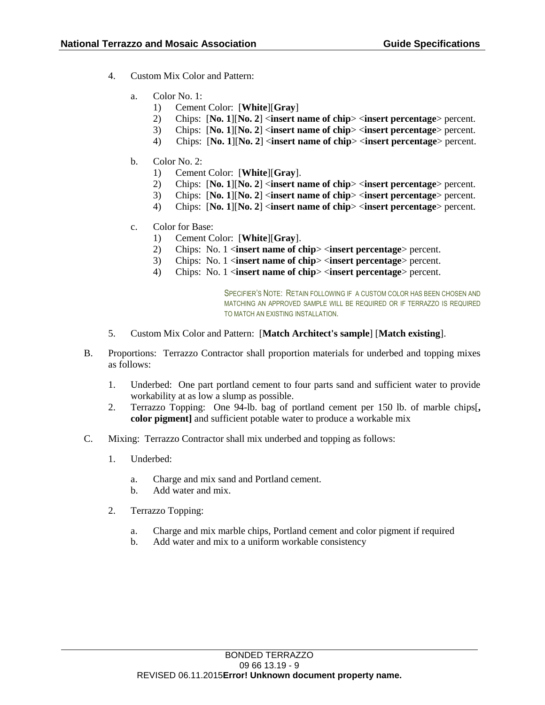- 4. Custom Mix Color and Pattern:
	- a. Color No. 1:
		- 1) Cement Color: [**White**][**Gray**]
		- 2) Chips: [**No. 1**][**No. 2**] <**insert name of chip**> <**insert percentage**> percent.
		- 3) Chips: [**No. 1**][**No. 2**] <**insert name of chip**> <**insert percentage**> percent.
		- 4) Chips: [**No. 1**][**No. 2**] <**insert name of chip**> <**insert percentage**> percent.
	- b. Color No. 2:
		- 1) Cement Color: [**White**][**Gray**].
		- 2) Chips: [**No. 1**][**No. 2**] <**insert name of chip**> <**insert percentage**> percent.
		- 3) Chips: [**No. 1**][**No. 2**] <**insert name of chip**> <**insert percentage**> percent.
		- 4) Chips: [**No. 1**][**No. 2**] <**insert name of chip**> <**insert percentage**> percent.
	- c. Color for Base:
		- 1) Cement Color: [**White**][**Gray**].
		- 2) Chips: No. 1 <**insert name of chip**> <**insert percentage**> percent.
		- 3) Chips: No. 1 <**insert name of chip**> <**insert percentage**> percent.
		- 4) Chips: No. 1 <**insert name of chip**> <**insert percentage**> percent.

SPECIFIER'S NOTE: RETAIN FOLLOWING IF A CUSTOM COLOR HAS BEEN CHOSEN AND MATCHING AN APPROVED SAMPLE WILL BE REQUIRED OR IF TERRAZZO IS REQUIRED TO MATCH AN EXISTING INSTALLATION.

- 5. Custom Mix Color and Pattern: [**Match Architect's sample**] [**Match existing**].
- B. Proportions: Terrazzo Contractor shall proportion materials for underbed and topping mixes as follows:
	- 1. Underbed: One part portland cement to four parts sand and sufficient water to provide workability at as low a slump as possible.
	- 2. Terrazzo Topping: One 94-lb. bag of portland cement per 150 lb. of marble chips[**, color pigment]** and sufficient potable water to produce a workable mix
- C. Mixing: Terrazzo Contractor shall mix underbed and topping as follows:
	- 1. Underbed:
		- a. Charge and mix sand and Portland cement.
		- b. Add water and mix.
	- 2. Terrazzo Topping:
		- a. Charge and mix marble chips, Portland cement and color pigment if required
		- b. Add water and mix to a uniform workable consistency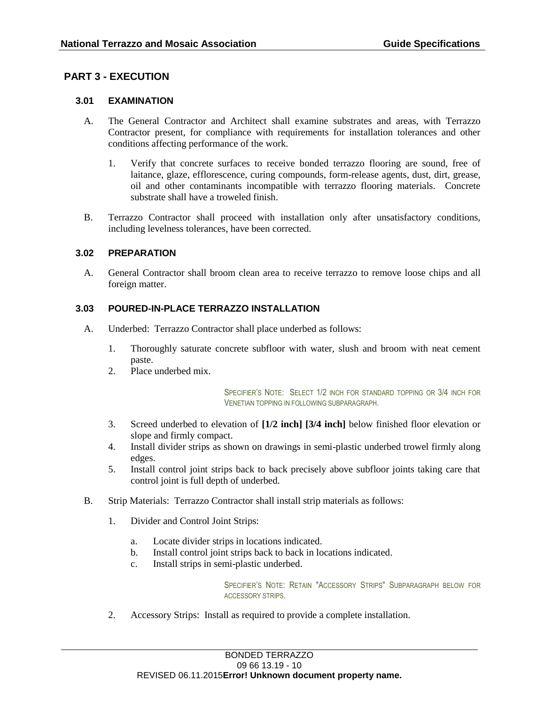# **PART 3 - EXECUTION**

### **3.01 EXAMINATION**

- A. The General Contractor and Architect shall examine substrates and areas, with Terrazzo Contractor present, for compliance with requirements for installation tolerances and other conditions affecting performance of the work.
	- 1. Verify that concrete surfaces to receive bonded terrazzo flooring are sound, free of laitance, glaze, efflorescence, curing compounds, form-release agents, dust, dirt, grease, oil and other contaminants incompatible with terrazzo flooring materials. Concrete substrate shall have a troweled finish.
- B. Terrazzo Contractor shall proceed with installation only after unsatisfactory conditions, including levelness tolerances, have been corrected.

#### **3.02 PREPARATION**

A. General Contractor shall broom clean area to receive terrazzo to remove loose chips and all foreign matter.

### **3.03 POURED-IN-PLACE TERRAZZO INSTALLATION**

- A. Underbed: Terrazzo Contractor shall place underbed as follows:
	- 1. Thoroughly saturate concrete subfloor with water, slush and broom with neat cement paste.
	- 2. Place underbed mix.

SPECIFIER'S NOTE: SELECT 1/2 INCH FOR STANDARD TOPPING OR 3/4 INCH FOR VENETIAN TOPPING IN FOLLOWING SUBPARAGRAPH.

- 3. Screed underbed to elevation of **[1/2 inch] [3/4 inch]** below finished floor elevation or slope and firmly compact.
- 4. Install divider strips as shown on drawings in semi-plastic underbed trowel firmly along edges.
- 5. Install control joint strips back to back precisely above subfloor joints taking care that control joint is full depth of underbed.
- B. Strip Materials: Terrazzo Contractor shall install strip materials as follows:
	- 1. Divider and Control Joint Strips:
		- a. Locate divider strips in locations indicated.
		- b. Install control joint strips back to back in locations indicated.
		- c. Install strips in semi-plastic underbed.

SPECIFIER'S NOTE: RETAIN "ACCESSORY STRIPS" SUBPARAGRAPH BELOW FOR ACCESSORY STRIPS.

2. Accessory Strips: Install as required to provide a complete installation.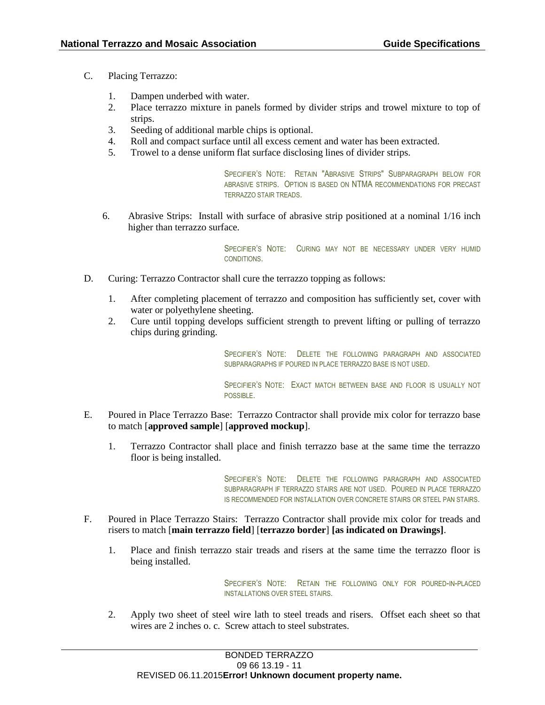- C. Placing Terrazzo:
	- 1. Dampen underbed with water.
	- 2. Place terrazzo mixture in panels formed by divider strips and trowel mixture to top of strips.
	- 3. Seeding of additional marble chips is optional.
	- 4. Roll and compact surface until all excess cement and water has been extracted.
	- 5. Trowel to a dense uniform flat surface disclosing lines of divider strips.

SPECIFIER'S NOTE: RETAIN "ABRASIVE STRIPS" SUBPARAGRAPH BELOW FOR ABRASIVE STRIPS. OPTION IS BASED ON NTMA RECOMMENDATIONS FOR PRECAST TERRAZZO STAIR TREADS.

6. Abrasive Strips: Install with surface of abrasive strip positioned at a nominal 1/16 inch higher than terrazzo surface.

> SPECIFIER'S NOTE: CURING MAY NOT BE NECESSARY UNDER VERY HUMID CONDITIONS.

- D. Curing: Terrazzo Contractor shall cure the terrazzo topping as follows:
	- 1. After completing placement of terrazzo and composition has sufficiently set, cover with water or polyethylene sheeting.
	- 2. Cure until topping develops sufficient strength to prevent lifting or pulling of terrazzo chips during grinding.

SPECIFIER'S NOTE: DELETE THE FOLLOWING PARAGRAPH AND ASSOCIATED SUBPARAGRAPHS IF POURED IN PLACE TERRAZZO BASE IS NOT USED.

SPECIFIER'S NOTE: EXACT MATCH BETWEEN BASE AND FLOOR IS USUALLY NOT POSSIBLE.

- E. Poured in Place Terrazzo Base: Terrazzo Contractor shall provide mix color for terrazzo base to match [**approved sample**] [**approved mockup**].
	- 1. Terrazzo Contractor shall place and finish terrazzo base at the same time the terrazzo floor is being installed.

SPECIFIER'S NOTE: DELETE THE FOLLOWING PARAGRAPH AND ASSOCIATED SUBPARAGRAPH IF TERRAZZO STAIRS ARE NOT USED. POURED IN PLACE TERRAZZO IS RECOMMENDED FOR INSTALLATION OVER CONCRETE STAIRS OR STEEL PAN STAIRS.

- F. Poured in Place Terrazzo Stairs: Terrazzo Contractor shall provide mix color for treads and risers to match [**main terrazzo field**] [**terrazzo border**] **[as indicated on Drawings]**.
	- 1. Place and finish terrazzo stair treads and risers at the same time the terrazzo floor is being installed.

SPECIFIER'S NOTE: RETAIN THE FOLLOWING ONLY FOR POURED-IN-PLACED INSTALLATIONS OVER STEEL STAIRS.

2. Apply two sheet of steel wire lath to steel treads and risers. Offset each sheet so that wires are 2 inches o. c. Screw attach to steel substrates.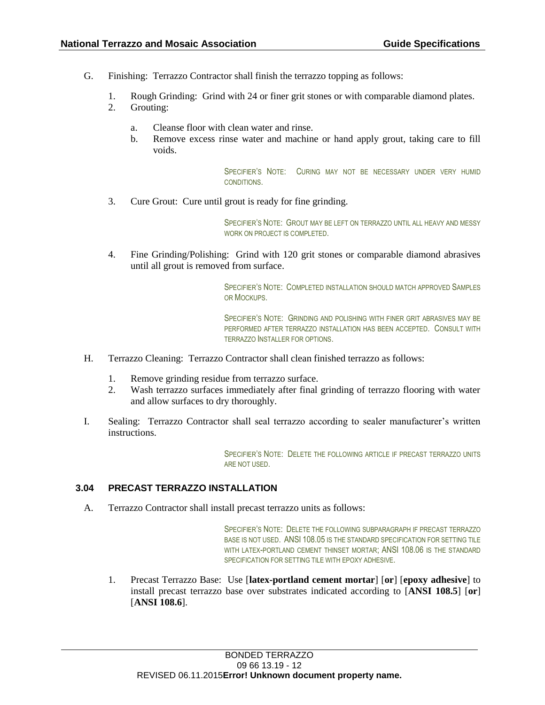- G. Finishing: Terrazzo Contractor shall finish the terrazzo topping as follows:
	- 1. Rough Grinding: Grind with 24 or finer grit stones or with comparable diamond plates.
	- 2. Grouting:
		- a. Cleanse floor with clean water and rinse.
		- b. Remove excess rinse water and machine or hand apply grout, taking care to fill voids.

SPECIFIER'S NOTE: CURING MAY NOT BE NECESSARY UNDER VERY HUMID CONDITIONS.

3. Cure Grout: Cure until grout is ready for fine grinding.

SPECIFIER'S NOTE: GROUT MAY BE LEFT ON TERRAZZO UNTIL ALL HEAVY AND MESSY WORK ON PROJECT IS COMPLETED.

4. Fine Grinding/Polishing: Grind with 120 grit stones or comparable diamond abrasives until all grout is removed from surface.

> SPECIFIER'S NOTE: COMPLETED INSTALLATION SHOULD MATCH APPROVED SAMPLES OR MOCKUPS.

> SPECIFIER'S NOTE: GRINDING AND POLISHING WITH FINER GRIT ABRASIVES MAY BE PERFORMED AFTER TERRAZZO INSTALLATION HAS BEEN ACCEPTED. CONSULT WITH TERRAZZO INSTALLER FOR OPTIONS.

- H. Terrazzo Cleaning: Terrazzo Contractor shall clean finished terrazzo as follows:
	- 1. Remove grinding residue from terrazzo surface.
	- 2. Wash terrazzo surfaces immediately after final grinding of terrazzo flooring with water and allow surfaces to dry thoroughly.
- I. Sealing: Terrazzo Contractor shall seal terrazzo according to sealer manufacturer's written instructions.

SPECIFIER'S NOTE: DELETE THE FOLLOWING ARTICLE IF PRECAST TERRAZZO UNITS ARE NOT USED.

#### **3.04 PRECAST TERRAZZO INSTALLATION**

A. Terrazzo Contractor shall install precast terrazzo units as follows:

SPECIFIER'S NOTE: DELETE THE FOLLOWING SUBPARAGRAPH IF PRECAST TERRAZZO BASE IS NOT USED. ANSI 108.05 IS THE STANDARD SPECIFICATION FOR SETTING TILE WITH LATEX-PORTLAND CEMENT THINSET MORTAR: ANSI 108.06 IS THE STANDARD SPECIFICATION FOR SETTING TILE WITH EPOXY ADHESIVE.

1. Precast Terrazzo Base: Use [**latex-portland cement mortar**] [**or**] [**epoxy adhesive**] to install precast terrazzo base over substrates indicated according to [**ANSI 108.5**] [**or**] [**ANSI 108.6**].